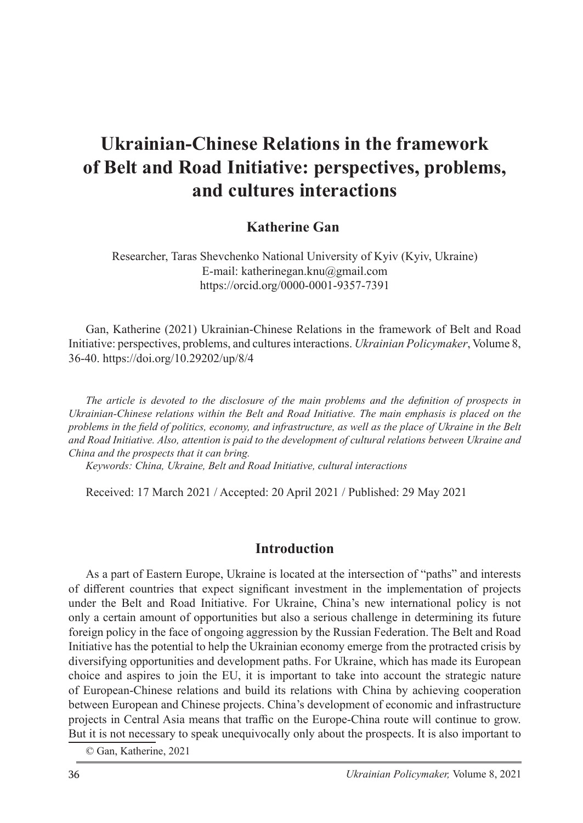# **Ukrainian-Chinese Relations in the framework of Belt and Road Initiative: perspectives, problems, and cultures interactions**

### **Katherine Gan**

Researcher, Taras Shevchenko National University of Kyiv (Kyiv, Ukraine) E-mail: katherinegan.knu@gmail.com https://orcid.org/0000-0001-9357-7391

Gan, Katherine (2021) Ukrainian-Chinese Relations in the framework of Belt and Road Initiative: perspectives, problems, and cultures interactions. *Ukrainian Policymaker*, Volume 8, 36-40. https://doi.org/10.29202/up/8/4

*The article is devoted to the disclosure of the main problems and the definition of prospects in Ukrainian-Chinese relations within the Belt and Road Initiative. The main emphasis is placed on the problems in the field of politics, economy, and infrastructure, as well as the place of Ukraine in the Belt and Road Initiative. Also, attention is paid to the development of cultural relations between Ukraine and China and the prospects that it can bring.*

*Keywords: China, Ukraine, Belt and Road Initiative, cultural interactions*

Received: 17 March 2021 / Accepted: 20 April 2021 / Published: 29 May 2021

#### **Introduction**

As a part of Eastern Europe, Ukraine is located at the intersection of "paths" and interests of different countries that expect significant investment in the implementation of projects under the Belt and Road Initiative. For Ukraine, China's new international policy is not only a certain amount of opportunities but also a serious challenge in determining its future foreign policy in the face of ongoing aggression by the Russian Federation. The Belt and Road Initiative has the potential to help the Ukrainian economy emerge from the protracted crisis by diversifying opportunities and development paths. For Ukraine, which has made its European choice and aspires to join the EU, it is important to take into account the strategic nature of European-Chinese relations and build its relations with China by achieving cooperation between European and Chinese projects. China's development of economic and infrastructure projects in Central Asia means that traffic on the Europe-China route will continue to grow. But it is not necessary to speak unequivocally only about the prospects. It is also important to

© Gan, Katherine, 2021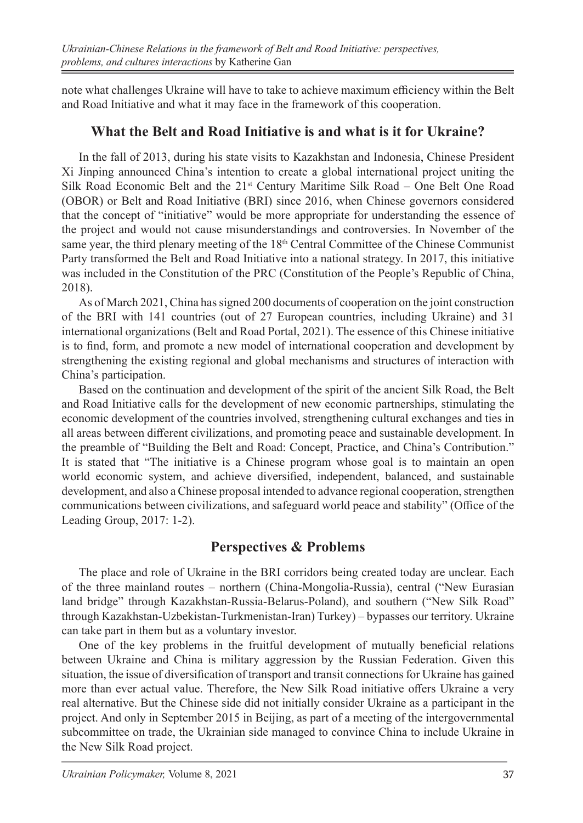note what challenges Ukraine will have to take to achieve maximum efficiency within the Belt and Road Initiative and what it may face in the framework of this cooperation.

## **What the Belt and Road Initiative is and what is it for Ukraine?**

In the fall of 2013, during his state visits to Kazakhstan and Indonesia, Chinese President Xi Jinping announced China's intention to create a global international project uniting the Silk Road Economic Belt and the 21st Century Maritime Silk Road – One Belt One Road (OBOR) or Belt and Road Initiative (BRI) since 2016, when Chinese governors considered that the concept of "initiative" would be more appropriate for understanding the essence of the project and would not cause misunderstandings and controversies. In November of the same year, the third plenary meeting of the 18<sup>th</sup> Central Committee of the Chinese Communist Party transformed the Belt and Road Initiative into a national strategy. In 2017, this initiative was included in the Constitution of the PRC (Constitution of the People's Republic of China, 2018).

As of March 2021, China has signed 200 documents of cooperation on the joint construction of the BRI with 141 countries (out of 27 European countries, including Ukraine) and 31 international organizations (Belt and Road Portal, 2021). The essence of this Chinese initiative is to find, form, and promote a new model of international cooperation and development by strengthening the existing regional and global mechanisms and structures of interaction with China's participation.

Based on the continuation and development of the spirit of the ancient Silk Road, the Belt and Road Initiative calls for the development of new economic partnerships, stimulating the economic development of the countries involved, strengthening cultural exchanges and ties in all areas between different civilizations, and promoting peace and sustainable development. In the preamble of "Building the Belt and Road: Concept, Practice, and China's Contribution." It is stated that "The initiative is a Chinese program whose goal is to maintain an open world economic system, and achieve diversified, independent, balanced, and sustainable development, and also a Chinese proposal intended to advance regional cooperation, strengthen communications between civilizations, and safeguard world peace and stability" (Office of the Leading Group, 2017: 1-2).

## **Perspectives & Problems**

The place and role of Ukraine in the BRI corridors being created today are unclear. Each of the three mainland routes – northern (China-Mongolia-Russia), central ("New Eurasian land bridge" through Kazakhstan-Russia-Belarus-Poland), and southern ("New Silk Road" through Kazakhstan-Uzbekistan-Turkmenistan-Iran) Turkey) – bypasses our territory. Ukraine can take part in them but as a voluntary investor.

One of the key problems in the fruitful development of mutually beneficial relations between Ukraine and China is military aggression by the Russian Federation. Given this situation, the issue of diversification of transport and transit connections for Ukraine has gained more than ever actual value. Therefore, the New Silk Road initiative offers Ukraine a very real alternative. But the Chinese side did not initially consider Ukraine as a participant in the project. And only in September 2015 in Beijing, as part of a meeting of the intergovernmental subcommittee on trade, the Ukrainian side managed to convince China to include Ukraine in the New Silk Road project.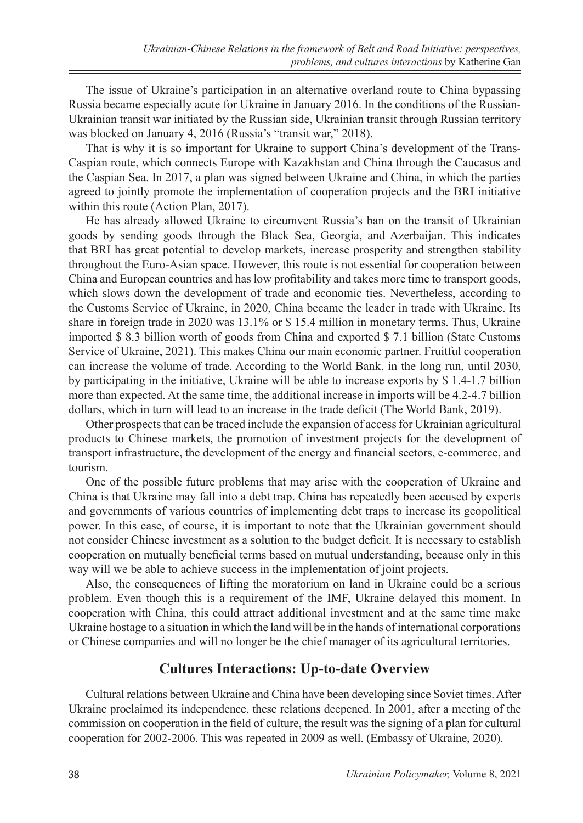The issue of Ukraine's participation in an alternative overland route to China bypassing Russia became especially acute for Ukraine in January 2016. In the conditions of the Russian-Ukrainian transit war initiated by the Russian side, Ukrainian transit through Russian territory was blocked on January 4, 2016 (Russia's "transit war," 2018).

That is why it is so important for Ukraine to support China's development of the Trans-Caspian route, which connects Europe with Kazakhstan and China through the Caucasus and the Caspian Sea. In 2017, a plan was signed between Ukraine and China, in which the parties agreed to jointly promote the implementation of cooperation projects and the BRI initiative within this route (Action Plan, 2017).

He has already allowed Ukraine to circumvent Russia's ban on the transit of Ukrainian goods by sending goods through the Black Sea, Georgia, and Azerbaijan. This indicates that BRI has great potential to develop markets, increase prosperity and strengthen stability throughout the Euro-Asian space. However, this route is not essential for cooperation between China and European countries and has low profitability and takes more time to transport goods, which slows down the development of trade and economic ties. Nevertheless, according to the Customs Service of Ukraine, in 2020, China became the leader in trade with Ukraine. Its share in foreign trade in 2020 was 13.1% or \$ 15.4 million in monetary terms. Thus, Ukraine imported \$ 8.3 billion worth of goods from China and exported \$ 7.1 billion (State Customs Service of Ukraine, 2021). This makes China our main economic partner. Fruitful cooperation can increase the volume of trade. According to the World Bank, in the long run, until 2030, by participating in the initiative, Ukraine will be able to increase exports by \$ 1.4-1.7 billion more than expected. At the same time, the additional increase in imports will be 4.2-4.7 billion dollars, which in turn will lead to an increase in the trade deficit (The World Bank, 2019).

Other prospects that can be traced include the expansion of access for Ukrainian agricultural products to Chinese markets, the promotion of investment projects for the development of transport infrastructure, the development of the energy and financial sectors, e-commerce, and tourism.

One of the possible future problems that may arise with the cooperation of Ukraine and China is that Ukraine may fall into a debt trap. China has repeatedly been accused by experts and governments of various countries of implementing debt traps to increase its geopolitical power. In this case, of course, it is important to note that the Ukrainian government should not consider Chinese investment as a solution to the budget deficit. It is necessary to establish cooperation on mutually beneficial terms based on mutual understanding, because only in this way will we be able to achieve success in the implementation of joint projects.

Also, the consequences of lifting the moratorium on land in Ukraine could be a serious problem. Even though this is a requirement of the IMF, Ukraine delayed this moment. In cooperation with China, this could attract additional investment and at the same time make Ukraine hostage to a situation in which the land will be in the hands of international corporations or Chinese companies and will no longer be the chief manager of its agricultural territories.

#### **Cultures Interactions: Up-to-date Overview**

Cultural relations between Ukraine and China have been developing since Soviet times. After Ukraine proclaimed its independence, these relations deepened. In 2001, after a meeting of the commission on cooperation in the field of culture, the result was the signing of a plan for cultural cooperation for 2002-2006. This was repeated in 2009 as well. (Embassy of Ukraine, 2020).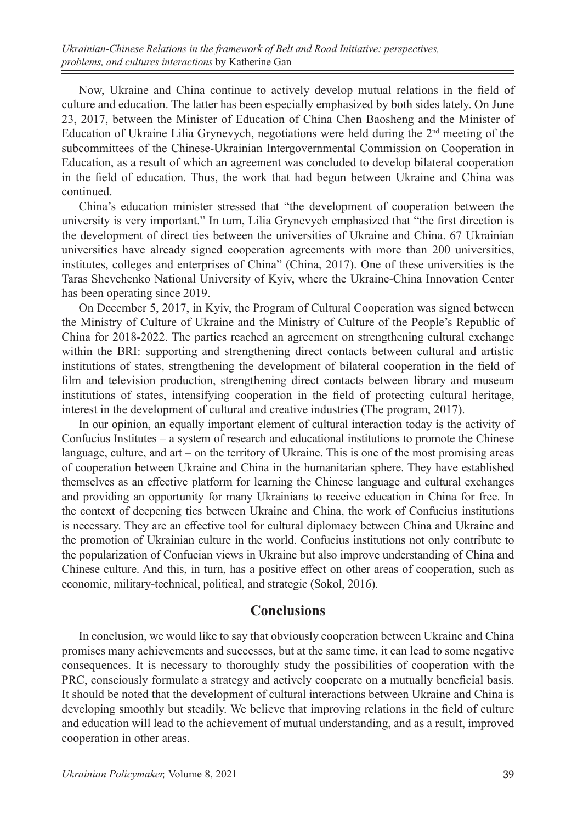Now, Ukraine and China continue to actively develop mutual relations in the field of culture and education. The latter has been especially emphasized by both sides lately. On June 23, 2017, between the Minister of Education of China Chen Baosheng and the Minister of Education of Ukraine Lilia Grynevych, negotiations were held during the 2nd meeting of the subcommittees of the Chinese-Ukrainian Intergovernmental Commission on Cooperation in Education, as a result of which an agreement was concluded to develop bilateral cooperation in the field of education. Thus, the work that had begun between Ukraine and China was continued.

China's education minister stressed that "the development of cooperation between the university is very important." In turn, Lilia Grynevych emphasized that "the first direction is the development of direct ties between the universities of Ukraine and China. 67 Ukrainian universities have already signed cooperation agreements with more than 200 universities, institutes, colleges and enterprises of China" (China, 2017). One of these universities is the Taras Shevchenko National University of Kyiv, where the Ukraine-China Innovation Center has been operating since 2019.

On December 5, 2017, in Kyiv, the Program of Cultural Cooperation was signed between the Ministry of Culture of Ukraine and the Ministry of Culture of the People's Republic of China for 2018-2022. The parties reached an agreement on strengthening cultural exchange within the BRI: supporting and strengthening direct contacts between cultural and artistic institutions of states, strengthening the development of bilateral cooperation in the field of film and television production, strengthening direct contacts between library and museum institutions of states, intensifying cooperation in the field of protecting cultural heritage, interest in the development of cultural and creative industries (The program, 2017).

In our opinion, an equally important element of cultural interaction today is the activity of Confucius Institutes – a system of research and educational institutions to promote the Chinese language, culture, and art – on the territory of Ukraine. This is one of the most promising areas of cooperation between Ukraine and China in the humanitarian sphere. They have established themselves as an effective platform for learning the Chinese language and cultural exchanges and providing an opportunity for many Ukrainians to receive education in China for free. In the context of deepening ties between Ukraine and China, the work of Confucius institutions is necessary. They are an effective tool for cultural diplomacy between China and Ukraine and the promotion of Ukrainian culture in the world. Confucius institutions not only contribute to the popularization of Confucian views in Ukraine but also improve understanding of China and Chinese culture. And this, in turn, has a positive effect on other areas of cooperation, such as economic, military-technical, political, and strategic (Sokol, 2016).

#### **Conclusions**

In conclusion, we would like to say that obviously cooperation between Ukraine and China promises many achievements and successes, but at the same time, it can lead to some negative consequences. It is necessary to thoroughly study the possibilities of cooperation with the PRC, consciously formulate a strategy and actively cooperate on a mutually beneficial basis. It should be noted that the development of cultural interactions between Ukraine and China is developing smoothly but steadily. We believe that improving relations in the field of culture and education will lead to the achievement of mutual understanding, and as a result, improved cooperation in other areas.